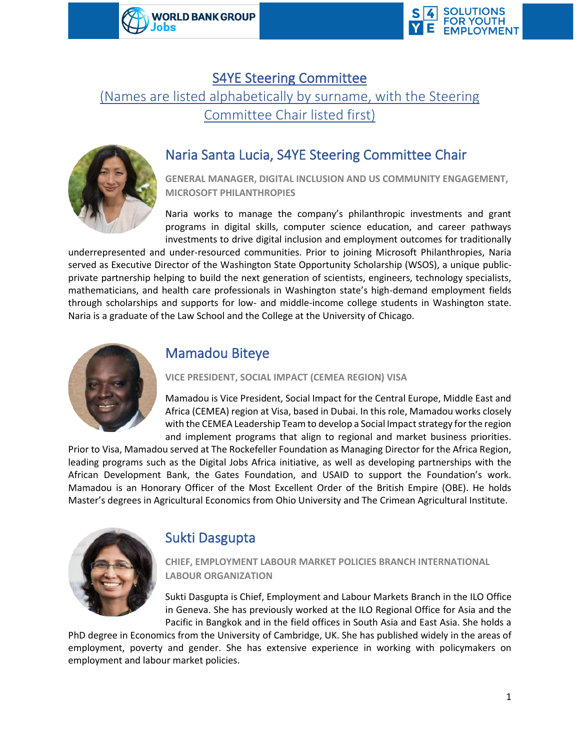



### S4YE Steering Committee

(Names are listed alphabetically by surname, with the Steering Committee Chair listed first)



# Naria Santa Lucia, S4YE Steering Committee Chair

**GENERAL MANAGER, DIGITAL INCLUSION AND US COMMUNITY ENGAGEMENT, MICROSOFT PHILANTHROPIES** 

Naria works to manage the company's philanthropic investments and grant programs in digital skills, computer science education, and career pathways investments to drive digital inclusion and employment outcomes for traditionally

underrepresented and under-resourced communities. Prior to joining Microsoft Philanthropies, Naria served as Executive Director of the Washington State Opportunity Scholarship (WSOS), a unique publicprivate partnership helping to build the next generation of scientists, engineers, technology specialists, mathematicians, and health care professionals in Washington state's high-demand employment fields through scholarships and supports for low- and middle-income college students in Washington state. Naria is a graduate of the Law School and the College at the University of Chicago.



# Mamadou Biteye

**VICE PRESIDENT, SOCIAL IMPACT (CEMEA REGION) VISA**

Mamadou is Vice President, Social Impact for the Central Europe, Middle East and Africa (CEMEA) region at Visa, based in Dubai. In this role, Mamadou works closely with the CEMEA Leadership Team to develop a Social Impact strategy for the region and implement programs that align to regional and market business priorities.

Prior to Visa, Mamadou served at The Rockefeller Foundation as Managing Director for the Africa Region, leading programs such as the Digital Jobs Africa initiative, as well as developing partnerships with the African Development Bank, the Gates Foundation, and USAID to support the Foundation's work. Mamadou is an Honorary Officer of the Most Excellent Order of the British Empire (OBE). He holds Master's degrees in Agricultural Economics from Ohio University and The Crimean Agricultural Institute.



# Sukti Dasgupta

**CHIEF, EMPLOYMENT LABOUR MARKET POLICIES BRANCH INTERNATIONAL LABOUR ORGANIZATION**

Sukti Dasgupta is Chief, Employment and Labour Markets Branch in the ILO Office in Geneva. She has previously worked at the ILO Regional Office for Asia and the Pacific in Bangkok and in the field offices in South Asia and East Asia. She holds a

PhD degree in Economics from the University of Cambridge, UK. She has published widely in the areas of employment, poverty and gender. She has extensive experience in working with policymakers on employment and labour market policies.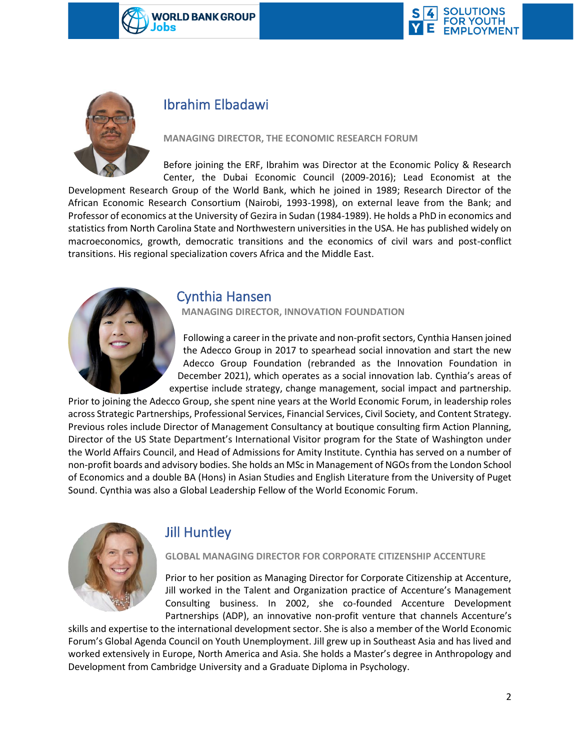





# Ibrahim Elbadawi

**MANAGING DIRECTOR, THE ECONOMIC RESEARCH FORUM**

Before joining the ERF, Ibrahim was Director at the Economic Policy & Research Center, the Dubai Economic Council (2009-2016); Lead Economist at the

Development Research Group of the World Bank, which he joined in 1989; Research Director of the African Economic Research Consortium (Nairobi, 1993-1998), on external leave from the Bank; and Professor of economics at the University of Gezira in Sudan (1984-1989). He holds a PhD in economics and statistics from North Carolina State and Northwestern universities in the USA. He has published widely on macroeconomics, growth, democratic transitions and the economics of civil wars and post-conflict transitions. His regional specialization covers Africa and the Middle East.



### Cynthia Hansen

**MANAGING DIRECTOR, INNOVATION FOUNDATION**

Following a career in the private and non-profit sectors, Cynthia Hansen joined the Adecco Group in 2017 to spearhead social innovation and start the new Adecco Group Foundation (rebranded as the Innovation Foundation in December 2021), which operates as a social innovation lab. Cynthia's areas of expertise include strategy, change management, social impact and partnership.

Prior to joining the Adecco Group, she spent nine years at the World Economic Forum, in leadership roles across Strategic Partnerships, Professional Services, Financial Services, Civil Society, and Content Strategy. Previous roles include Director of Management Consultancy at boutique consulting firm Action Planning, Director of the US State Department's International Visitor program for the State of Washington under the World Affairs Council, and Head of Admissions for Amity Institute. Cynthia has served on a number of non-profit boards and advisory bodies. She holds an MSc in Management of NGOs from the London School of Economics and a double BA (Hons) in Asian Studies and English Literature from the University of Puget Sound. Cynthia was also a Global Leadership Fellow of the World Economic Forum.



# Jill Huntley

#### **GLOBAL MANAGING DIRECTOR FOR CORPORATE CITIZENSHIP ACCENTURE**

Prior to her position as Managing Director for Corporate Citizenship at Accenture, Jill worked in the Talent and Organization practice of Accenture's Management Consulting business. In 2002, she co-founded Accenture Development Partnerships (ADP), an innovative non-profit venture that channels Accenture's

skills and expertise to the international development sector. She is also a member of the World Economic Forum's Global Agenda Council on Youth Unemployment. Jill grew up in Southeast Asia and has lived and worked extensively in Europe, North America and Asia. She holds a Master's degree in Anthropology and Development from Cambridge University and a Graduate Diploma in Psychology.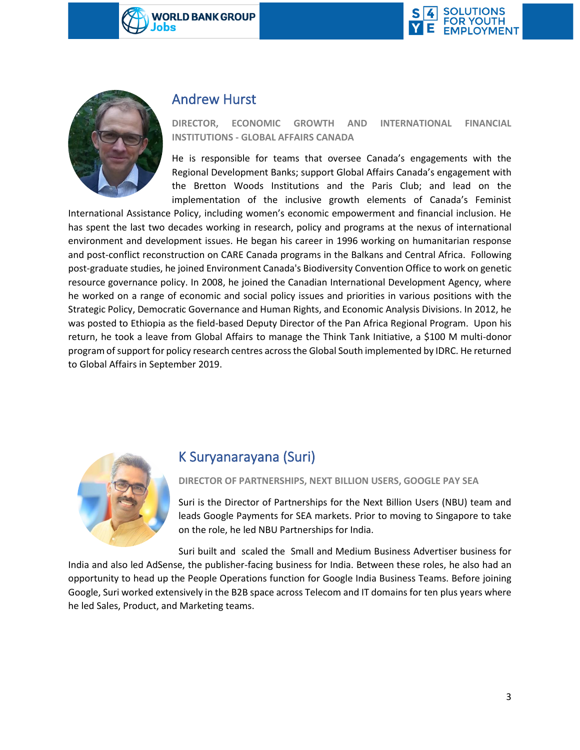





### Andrew Hurst

#### **DIRECTOR, ECONOMIC GROWTH AND INTERNATIONAL FINANCIAL INSTITUTIONS - GLOBAL AFFAIRS CANADA**

He is responsible for teams that oversee Canada's engagements with the Regional Development Banks; support Global Affairs Canada's engagement with the Bretton Woods Institutions and the Paris Club; and lead on the implementation of the inclusive growth elements of Canada's Feminist

International Assistance Policy, including women's economic empowerment and financial inclusion. He has spent the last two decades working in research, policy and programs at the nexus of international environment and development issues. He began his career in 1996 working on humanitarian response and post-conflict reconstruction on CARE Canada programs in the Balkans and Central Africa. Following post-graduate studies, he joined Environment Canada's Biodiversity Convention Office to work on genetic resource governance policy. In 2008, he joined the Canadian International Development Agency, where he worked on a range of economic and social policy issues and priorities in various positions with the Strategic Policy, Democratic Governance and Human Rights, and Economic Analysis Divisions. In 2012, he was posted to Ethiopia as the field-based Deputy Director of the Pan Africa Regional Program. Upon his return, he took a leave from Global Affairs to manage the Think Tank Initiative, a \$100 M multi-donor program of support for policy research centres across the Global South implemented by IDRC. He returned to Global Affairs in September 2019.



### K Suryanarayana (Suri)

**DIRECTOR OF PARTNERSHIPS, NEXT BILLION USERS, GOOGLE PAY SEA** 

Suri is the Director of Partnerships for the Next Billion Users (NBU) team and leads Google Payments for SEA markets. Prior to moving to Singapore to take on the role, he led NBU Partnerships for India.

Suri built and scaled the Small and Medium Business Advertiser business for India and also led AdSense, the publisher-facing business for India. Between these roles, he also had an opportunity to head up the People Operations function for Google India Business Teams. Before joining Google, Suri worked extensively in the B2B space across Telecom and IT domains for ten plus years where he led Sales, Product, and Marketing teams.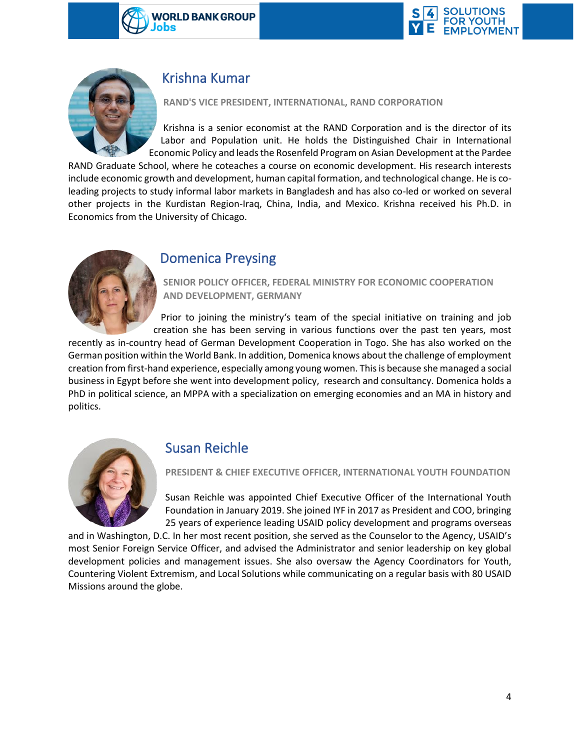





### Krishna Kumar

#### **RAND'S VICE PRESIDENT, INTERNATIONAL, RAND CORPORATION**

Krishna is a senior economist at the RAND Corporation and is the director of its Labor and Population unit. He holds the Distinguished Chair in International Economic Policy and leads the Rosenfeld Program on Asian Development at the Pardee

RAND Graduate School, where he coteaches a course on economic development. His research interests include economic growth and development, human capital formation, and technological change. He is coleading projects to study informal labor markets in Bangladesh and has also co-led or worked on several other projects in the Kurdistan Region-Iraq, China, India, and Mexico. Krishna received his Ph.D. in Economics from the University of Chicago.



### Domenica Preysing

**SENIOR POLICY OFFICER, FEDERAL MINISTRY FOR ECONOMIC COOPERATION AND DEVELOPMENT, GERMANY**

Prior to joining the ministry's team of the special initiative on training and job creation she has been serving in various functions over the past ten years, most

recently as in-country head of German Development Cooperation in Togo. She has also worked on the German position within the World Bank. In addition, Domenica knows about the challenge of employment creation from first-hand experience, especially among young women. This is because she managed a social business in Egypt before she went into development policy, research and consultancy. Domenica holds a PhD in political science, an MPPA with a specialization on emerging economies and an MA in history and politics.



### Susan Reichle

**PRESIDENT & CHIEF EXECUTIVE OFFICER, INTERNATIONAL YOUTH FOUNDATION**

Susan Reichle was appointed Chief Executive Officer of the International Youth Foundation in January 2019. She joined IYF in 2017 as President and COO, bringing 25 years of experience leading USAID policy development and programs overseas

and in Washington, D.C. In her most recent position, she served as the Counselor to the Agency, USAID's most Senior Foreign Service Officer, and advised the Administrator and senior leadership on key global development policies and management issues. She also oversaw the Agency Coordinators for Youth, Countering Violent Extremism, and Local Solutions while communicating on a regular basis with 80 USAID Missions around the globe.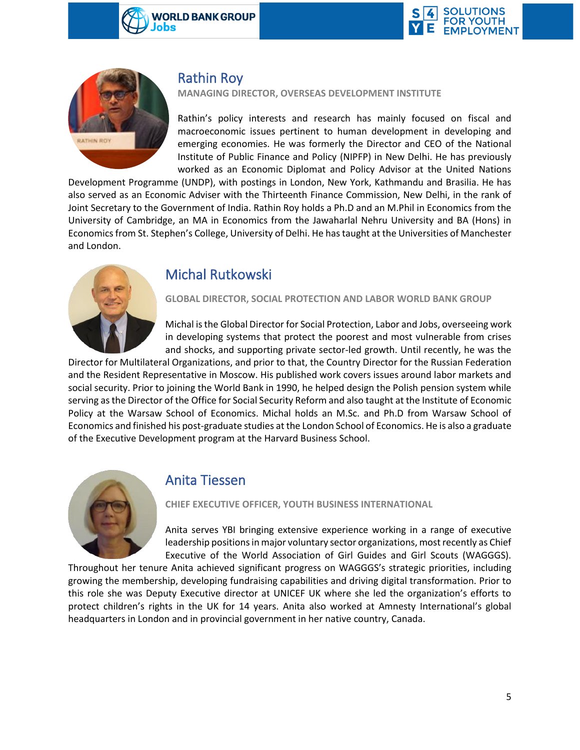





### Rathin Roy

**MANAGING DIRECTOR, OVERSEAS DEVELOPMENT INSTITUTE**

Rathin's policy interests and research has mainly focused on fiscal and macroeconomic issues pertinent to human development in developing and emerging economies. He was formerly the Director and CEO of the National Institute of Public Finance and Policy (NIPFP) in New Delhi. He has previously worked as an Economic Diplomat and Policy Advisor at the United Nations

Development Programme (UNDP), with postings in London, New York, Kathmandu and Brasilia. He has also served as an Economic Adviser with the Thirteenth Finance Commission, New Delhi, in the rank of Joint Secretary to the Government of India. Rathin Roy holds a Ph.D and an M.Phil in Economics from the University of Cambridge, an MA in Economics from the Jawaharlal Nehru University and BA (Hons) in Economics from St. Stephen's College, University of Delhi. He has taught at the Universities of Manchester and London.



### Michal Rutkowski

#### **GLOBAL DIRECTOR, SOCIAL PROTECTION AND LABOR WORLD BANK GROUP**

Michal is the Global Director for Social Protection, Labor and Jobs, overseeing work in developing systems that protect the poorest and most vulnerable from crises and shocks, and supporting private sector-led growth. Until recently, he was the

Director for Multilateral Organizations, and prior to that, the Country Director for the Russian Federation and the Resident Representative in Moscow. His published work covers issues around labor markets and social security. Prior to joining the World Bank in 1990, he helped design the Polish pension system while serving as the Director of the Office for Social Security Reform and also taught at the Institute of Economic Policy at the Warsaw School of Economics. Michal holds an M.Sc. and Ph.D from Warsaw School of Economics and finished his post-graduate studies at the London School of Economics. He is also a graduate of the Executive Development program at the Harvard Business School.



### Anita Tiessen

#### **CHIEF EXECUTIVE OFFICER, YOUTH BUSINESS INTERNATIONAL**

Anita serves YBI bringing extensive experience working in a range of executive leadership positions in major voluntary sector organizations, most recently as Chief Executive of the World Association of Girl Guides and Girl Scouts (WAGGGS).

Throughout her tenure Anita achieved significant progress on WAGGGS's strategic priorities, including growing the membership, developing fundraising capabilities and driving digital transformation. Prior to this role she was Deputy Executive director at UNICEF UK where she led the organization's efforts to protect children's rights in the UK for 14 years. Anita also worked at Amnesty International's global headquarters in London and in provincial government in her native country, Canada.